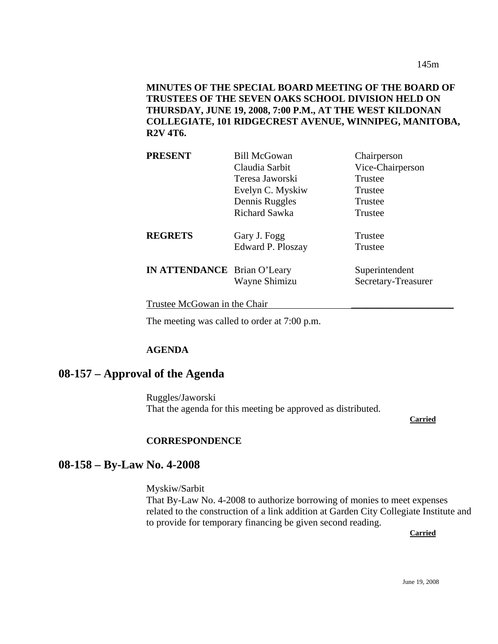145m

## **MINUTES OF THE SPECIAL BOARD MEETING OF THE BOARD OF TRUSTEES OF THE SEVEN OAKS SCHOOL DIVISION HELD ON THURSDAY, JUNE 19, 2008, 7:00 P.M., AT THE WEST KILDONAN COLLEGIATE, 101 RIDGECREST AVENUE, WINNIPEG, MANITOBA, R2V 4T6.**

| <b>PRESENT</b>                     | <b>Bill McGowan</b> | Chairperson         |
|------------------------------------|---------------------|---------------------|
|                                    | Claudia Sarbit      | Vice-Chairperson    |
|                                    | Teresa Jaworski     | Trustee             |
|                                    | Evelyn C. Myskiw    | Trustee             |
|                                    | Dennis Ruggles      | Trustee             |
|                                    | Richard Sawka       | Trustee             |
| <b>REGRETS</b>                     | Gary J. Fogg        | Trustee             |
|                                    | Edward P. Ploszay   | Trustee             |
| <b>IN ATTENDANCE</b> Brian O'Leary |                     | Superintendent      |
|                                    | Wayne Shimizu       | Secretary-Treasurer |
|                                    |                     |                     |

Trustee McGowan in the Chair

The meeting was called to order at 7:00 p.m.

#### **AGENDA**

## **08-157 – Approval of the Agenda**

Ruggles/Jaworski That the agenda for this meeting be approved as distributed.

**Carried**

#### **CORRESPONDENCE**

#### **08-158 – By-Law No. 4-2008**

Myskiw/Sarbit That By-Law No. 4-2008 to authorize borrowing of monies to meet expenses related to the construction of a link addition at Garden City Collegiate Institute and to provide for temporary financing be given second reading.

**Carried**